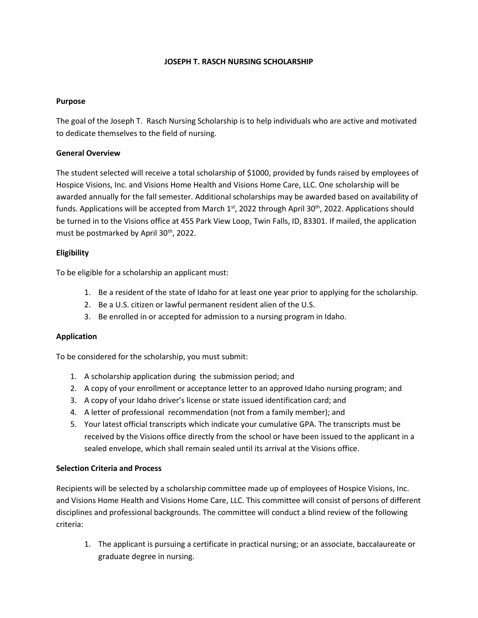# **JOSEPH T. RASCH NURSING SCHOLARSHIP**

## **Purpose**

The goal of the Joseph T. Rasch Nursing Scholarship is to help individuals who are active and motivated to dedicate themselves to the field of nursing.

# **General Overview**

The student selected will receive a total scholarship of \$1000, provided by funds raised by employees of Hospice Visions, Inc. and Visions Home Health and Visions Home Care, LLC. One scholarship will be awarded annually for the fall semester. Additional scholarships may be awarded based on availability of funds. Applications will be accepted from March 1<sup>st</sup>, 2022 through April 30<sup>th</sup>, 2022. Applications should be turned in to the Visions office at 455 Park View Loop, Twin Falls, ID, 83301. If mailed, the application must be postmarked by April 30<sup>th</sup>, 2022.

## **Eligibility**

To be eligible for a scholarship an applicant must:

- 1. Be a resident of the state of Idaho for at least one year prior to applying for the scholarship.
- 2. Be a U.S. citizen or lawful permanent resident alien of the U.S.
- 3. Be enrolled in or accepted for admission to a nursing program in Idaho.

#### **Application**

To be considered for the scholarship, you must submit:

- 1. A scholarship application during the submission period; and
- 2. A copy of your enrollment or acceptance letter to an approved Idaho nursing program; and
- 3. A copy of your Idaho driver's license or state issued identification card; and
- 4. A letter of professional recommendation (not from a family member); and
- 5. Your latest official transcripts which indicate your cumulative GPA. The transcripts must be received by the Visions office directly from the school or have been issued to the applicant in a sealed envelope, which shall remain sealed until its arrival at the Visions office.

# **Selection Criteria and Process**

Recipients will be selected by a scholarship committee made up of employees of Hospice Visions, Inc. and Visions Home Health and Visions Home Care, LLC. This committee will consist of persons of different disciplines and professional backgrounds. The committee will conduct a blind review of the following criteria:

1. The applicant is pursuing a certificate in practical nursing; or an associate, baccalaureate or graduate degree in nursing.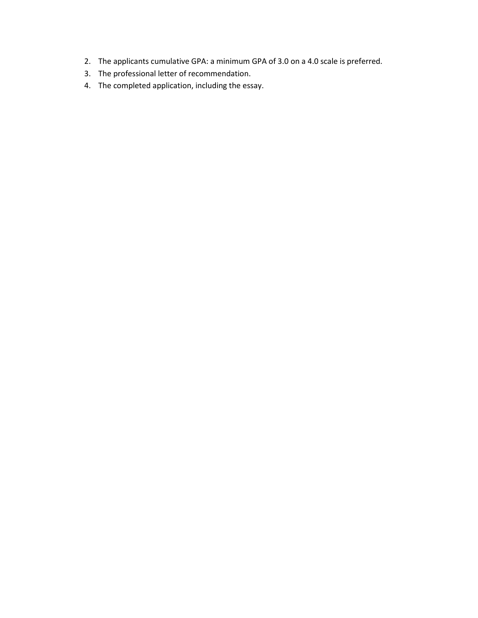- 2. The applicants cumulative GPA: a minimum GPA of 3.0 on a 4.0 scale is preferred.
- 3. The professional letter of recommendation.
- 4. The completed application, including the essay.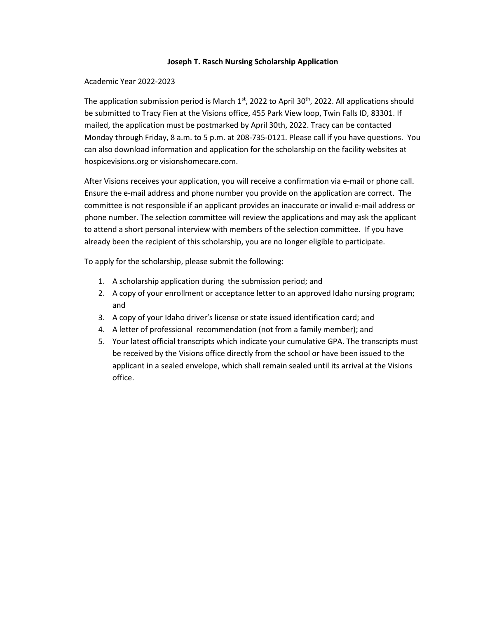## **Joseph T. Rasch Nursing Scholarship Application**

### Academic Year 2022-2023

The application submission period is March 1<sup>st</sup>, 2022 to April 30<sup>th</sup>, 2022. All applications should be submitted to Tracy Fien at the Visions office, 455 Park View loop, Twin Falls ID, 83301. If mailed, the application must be postmarked by April 30th, 2022. Tracy can be contacted Monday through Friday, 8 a.m. to 5 p.m. at 208-735-0121. Please call if you have questions. You can also download information and application for the scholarship on the facility websites at [hospicev](http://hospice/)isions.org or visionshomecare.com.

After Visions receives your application, you will receive a confirmation via e-mail or phone call. Ensure the e-mail address and phone number you provide on the application are correct. The committee is not responsible if an applicant provides an inaccurate or invalid e-mail address or phone number. The selection committee will review the applications and may ask the applicant to attend a short personal interview with members of the selection committee. If you have already been the recipient of this scholarship, you are no longer eligible to participate.

To apply for the scholarship, please submit the following:

- 1. A scholarship application during the submission period; and
- 2. A copy of your enrollment or acceptance letter to an approved Idaho nursing program; and
- 3. A copy of your Idaho driver's license or state issued identification card; and
- 4. A letter of professional recommendation (not from a family member); and
- 5. Your latest official transcripts which indicate your cumulative GPA. The transcripts must be received by the Visions office directly from the school or have been issued to the applicant in a sealed envelope, which shall remain sealed until its arrival at the Visions office.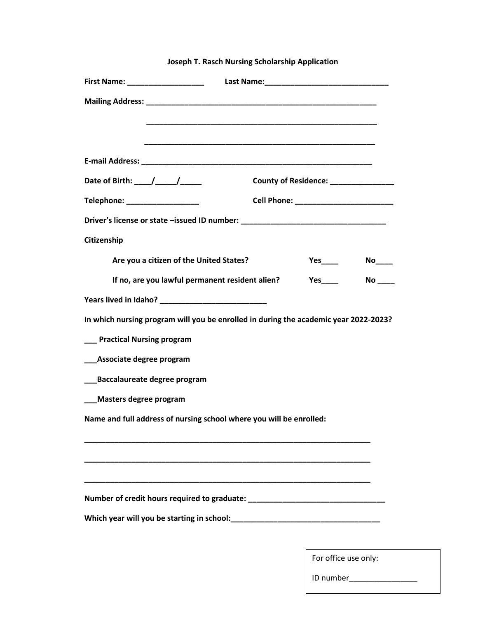| First Name: ____________________                                                     |  |
|--------------------------------------------------------------------------------------|--|
|                                                                                      |  |
|                                                                                      |  |
|                                                                                      |  |
|                                                                                      |  |
| Date of Birth: $/$ /<br>County of Residence: _______________                         |  |
| Telephone: __________________                                                        |  |
| Driver's license or state -issued ID number: ___________________________________     |  |
| Citizenship                                                                          |  |
| Are you a citizen of the United States?                                              |  |
| If no, are you lawful permanent resident alien?<br>$No$ <sub>____</sub>              |  |
|                                                                                      |  |
| In which nursing program will you be enrolled in during the academic year 2022-2023? |  |
| ___ Practical Nursing program                                                        |  |
| ___Associate degree program                                                          |  |
| ___Baccalaureate degree program                                                      |  |
| ___Masters degree program                                                            |  |
| Name and full address of nursing school where you will be enrolled:                  |  |
|                                                                                      |  |
|                                                                                      |  |
|                                                                                      |  |
| Number of credit hours required to graduate: ___________________________________     |  |
|                                                                                      |  |
|                                                                                      |  |

**Joseph T. Rasch Nursing Scholarship Application**

For office use only:

ID number\_\_\_\_\_\_\_\_\_\_\_\_\_\_\_\_